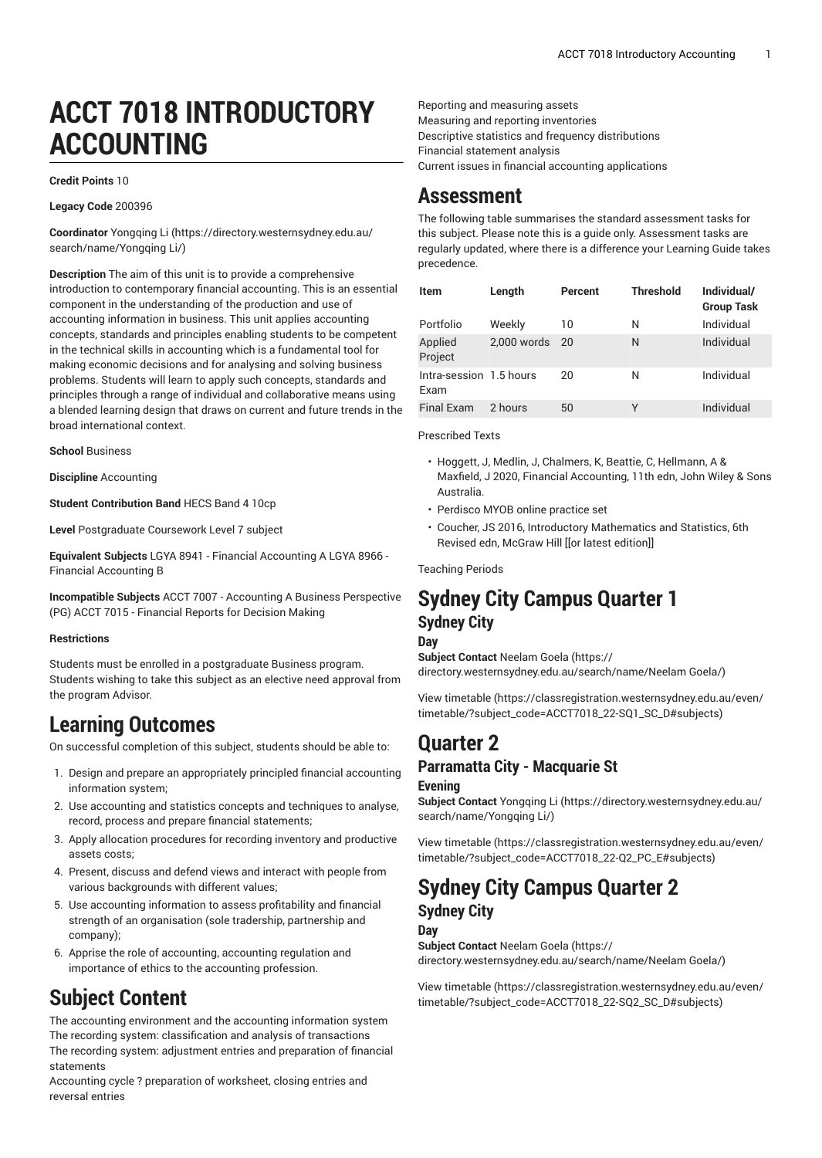# **ACCT 7018 INTRODUCTORY ACCOUNTING**

#### **Credit Points** 10

**Legacy Code** 200396

**Coordinator** [Yongqing](https://directory.westernsydney.edu.au/search/name/Yongqing Li/) Li [\(https://directory.westernsydney.edu.au/](https://directory.westernsydney.edu.au/search/name/Yongqing Li/) [search/name/Yongqing](https://directory.westernsydney.edu.au/search/name/Yongqing Li/) Li/)

**Description** The aim of this unit is to provide a comprehensive introduction to contemporary financial accounting. This is an essential component in the understanding of the production and use of accounting information in business. This unit applies accounting concepts, standards and principles enabling students to be competent in the technical skills in accounting which is a fundamental tool for making economic decisions and for analysing and solving business problems. Students will learn to apply such concepts, standards and principles through a range of individual and collaborative means using a blended learning design that draws on current and future trends in the broad international context.

**School** Business

**Discipline** Accounting

**Student Contribution Band** HECS Band 4 10cp

**Level** Postgraduate Coursework Level 7 subject

**Equivalent Subjects** LGYA 8941 - Financial Accounting A LGYA 8966 - Financial Accounting B

**Incompatible Subjects** [ACCT](/search/?P=ACCT%207007) 7007 - Accounting A Business Perspective (PG) [ACCT](/search/?P=ACCT%207015) 7015 - Financial Reports for Decision Making

#### **Restrictions**

Students must be enrolled in a postgraduate Business program. Students wishing to take this subject as an elective need approval from the program Advisor.

## **Learning Outcomes**

On successful completion of this subject, students should be able to:

- 1. Design and prepare an appropriately principled financial accounting information system;
- 2. Use accounting and statistics concepts and techniques to analyse, record, process and prepare financial statements;
- 3. Apply allocation procedures for recording inventory and productive assets costs;
- 4. Present, discuss and defend views and interact with people from various backgrounds with different values;
- 5. Use accounting information to assess profitability and financial strength of an organisation (sole tradership, partnership and company);
- 6. Apprise the role of accounting, accounting regulation and importance of ethics to the accounting profession.

## **Subject Content**

The accounting environment and the accounting information system The recording system: classification and analysis of transactions The recording system: adjustment entries and preparation of financial statements

Accounting cycle ? preparation of worksheet, closing entries and reversal entries

Reporting and measuring assets Measuring and reporting inventories Descriptive statistics and frequency distributions Financial statement analysis Current issues in financial accounting applications

## **Assessment**

The following table summarises the standard assessment tasks for this subject. Please note this is a guide only. Assessment tasks are regularly updated, where there is a difference your Learning Guide takes precedence.

| <b>Item</b>                     | Length        | Percent | <b>Threshold</b> | Individual/<br><b>Group Task</b> |
|---------------------------------|---------------|---------|------------------|----------------------------------|
| Portfolio                       | Weekly        | 10      | N                | Individual                       |
| Applied<br>Project              | $2.000$ words | 20      | N                | Individual                       |
| Intra-session 1.5 hours<br>Exam |               | 20      | N                | Individual                       |
| <b>Final Exam</b>               | 2 hours       | 50      | Υ                | Individual                       |

Prescribed Texts

- Hoggett, J, Medlin, J, Chalmers, K, Beattie, C, Hellmann, A & Maxfield, J 2020, Financial Accounting, 11th edn, John Wiley & Sons Australia.
- Perdisco MYOB online practice set
- Coucher, JS 2016, Introductory Mathematics and Statistics, 6th Revised edn, McGraw Hill [[or latest edition]]

Teaching Periods

## **Sydney City Campus Quarter 1 Sydney City**

#### **Day**

**Subject Contact** [Neelam Goela \(https://](https://directory.westernsydney.edu.au/search/name/Neelam Goela/) [directory.westernsydney.edu.au/search/name/Neelam](https://directory.westernsydney.edu.au/search/name/Neelam Goela/) Goela/)

[View timetable](https://classregistration.westernsydney.edu.au/even/timetable/?subject_code=ACCT7018_22-SQ1_SC_D#subjects) [\(https://classregistration.westernsydney.edu.au/even/](https://classregistration.westernsydney.edu.au/even/timetable/?subject_code=ACCT7018_22-SQ1_SC_D#subjects) [timetable/?subject\\_code=ACCT7018\\_22-SQ1\\_SC\\_D#subjects](https://classregistration.westernsydney.edu.au/even/timetable/?subject_code=ACCT7018_22-SQ1_SC_D#subjects))

# **Quarter 2**

## **Parramatta City - Macquarie St**

#### **Evening**

**Subject Contact** [Yongqing](https://directory.westernsydney.edu.au/search/name/Yongqing Li/) Li ([https://directory.westernsydney.edu.au/](https://directory.westernsydney.edu.au/search/name/Yongqing Li/) [search/name/Yongqing](https://directory.westernsydney.edu.au/search/name/Yongqing Li/) Li/)

[View timetable](https://classregistration.westernsydney.edu.au/even/timetable/?subject_code=ACCT7018_22-Q2_PC_E#subjects) [\(https://classregistration.westernsydney.edu.au/even/](https://classregistration.westernsydney.edu.au/even/timetable/?subject_code=ACCT7018_22-Q2_PC_E#subjects) [timetable/?subject\\_code=ACCT7018\\_22-Q2\\_PC\\_E#subjects\)](https://classregistration.westernsydney.edu.au/even/timetable/?subject_code=ACCT7018_22-Q2_PC_E#subjects)

## **Sydney City Campus Quarter 2 Sydney City**

#### **Day**

**Subject Contact** [Neelam Goela \(https://](https://directory.westernsydney.edu.au/search/name/Neelam Goela/) [directory.westernsydney.edu.au/search/name/Neelam](https://directory.westernsydney.edu.au/search/name/Neelam Goela/) Goela/)

[View timetable](https://classregistration.westernsydney.edu.au/even/timetable/?subject_code=ACCT7018_22-SQ2_SC_D#subjects) [\(https://classregistration.westernsydney.edu.au/even/](https://classregistration.westernsydney.edu.au/even/timetable/?subject_code=ACCT7018_22-SQ2_SC_D#subjects) [timetable/?subject\\_code=ACCT7018\\_22-SQ2\\_SC\\_D#subjects](https://classregistration.westernsydney.edu.au/even/timetable/?subject_code=ACCT7018_22-SQ2_SC_D#subjects))